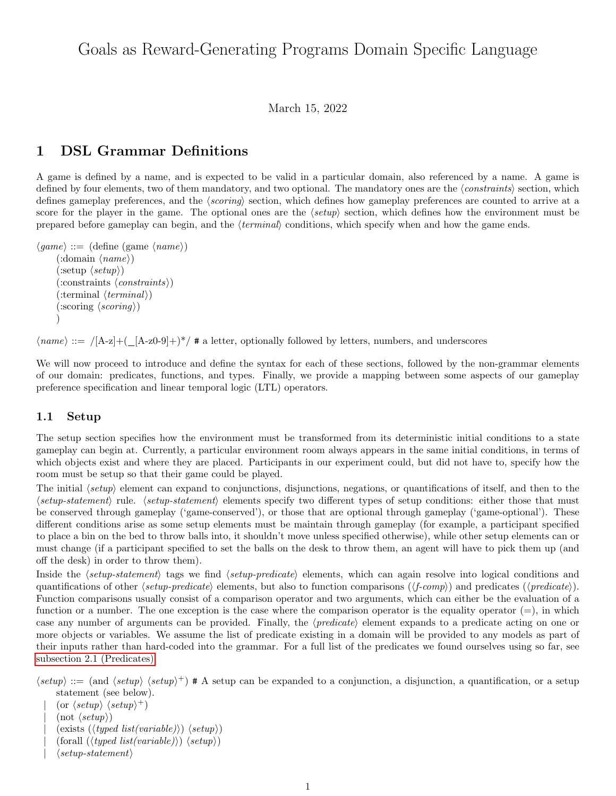# Goals as Reward-Generating Programs Domain Specific Language

March 15, 2022

# 1 DSL Grammar Definitions

A game is defined by a name, and is expected to be valid in a particular domain, also referenced by a name. A game is defined by four elements, two of them mandatory, and two optional. The mandatory ones are the  $\langle constraints \rangle$  section, which defines gameplay preferences, and the  $\langle scoring \rangle$  section, which defines how gameplay preferences are counted to arrive at a score for the player in the game. The optional ones are the  $\langle setup \rangle$  section, which defines how the environment must be prepared before gameplay can begin, and the  $\langle terminal \rangle$  conditions, which specify when and how the game ends.

```
\langle game \rangle ::= (\text{define } (game \langle name \rangle))(\text{:domain } \langle name \rangle)(\text{setup } \langle setup \rangle)(\text{constraints} \langle \text{constraints} \rangle)(\text{terminal } \langle terminal \rangle)\langle \text{scoring } \langle \text{scoring} \rangle\lambda
```
 $\langle name \rangle ::= /[A-z] + (A-z0-9] + )$ <sup>\*</sup>/ # a letter, optionally followed by letters, numbers, and underscores

We will now proceed to introduce and define the syntax for each of these sections, followed by the non-grammar elements of our domain: predicates, functions, and types. Finally, we provide a mapping between some aspects of our gameplay preference specification and linear temporal logic (LTL) operators.

#### <span id="page-0-0"></span>1.1 Setup

The setup section specifies how the environment must be transformed from its deterministic initial conditions to a state gameplay can begin at. Currently, a particular environment room always appears in the same initial conditions, in terms of which objects exist and where they are placed. Participants in our experiment could, but did not have to, specify how the room must be setup so that their game could be played.

The initial  $\langle setup \rangle$  element can expand to conjunctions, disjunctions, negations, or quantifications of itself, and then to the  $\langle setup-statement \rangle$  rule.  $\langle setup-statement \rangle$  elements specify two different types of setup conditions: either those that must be conserved through gameplay ('game-conserved'), or those that are optional through gameplay ('game-optional'). These different conditions arise as some setup elements must be maintain through gameplay (for example, a participant specified to place a bin on the bed to throw balls into, it shouldn't move unless specified otherwise), while other setup elements can or must change (if a participant specified to set the balls on the desk to throw them, an agent will have to pick them up (and off the desk) in order to throw them).

Inside the  $\langle setup\text{-}statement\rangle$  tags we find  $\langle setup\text{-}predicate\rangle$  elements, which can again resolve into logical conditions and quantifications of other  $\langle setup-predicate \rangle$  elements, but also to function comparisons  $(\langle f-comp \rangle)$  and predicates  $(\langle predicate \rangle)$ . Function comparisons usually consist of a comparison operator and two arguments, which can either be the evaluation of a function or a number. The one exception is the case where the comparison operator is the equality operator  $(=)$ , in which case any number of arguments can be provided. Finally, the  $\langle predicate \rangle$  element expands to a predicate acting on one or more objects or variables. We assume the list of predicate existing in a domain will be provided to any models as part of their inputs rather than hard-coded into the grammar. For a full list of the predicates we found ourselves using so far, see [subsection 2.1 \(Predicates\).](#page-5-0)

 $\langle setup \rangle ::=$  (and  $\langle setup \rangle \langle setup \rangle^+$ ) # A setup can be expanded to a conjunction, a disjunction, a quantification, or a setup statement (see below).

| (or  $\langle setup \rangle \langle setup \rangle^+)$  $(\text{not }\langle setup \rangle)$  $(exists (\langle typed\ list(variable\rangle) \langle setup\rangle)$  ${\langle (typed\ list(variable)\rangle)} \langle setup\rangle$  $\langle setup-statement \rangle$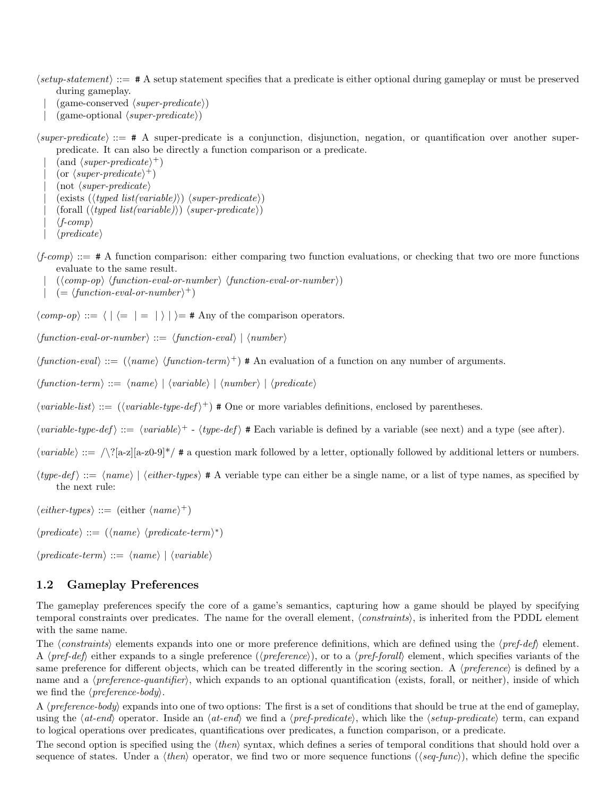$\langle setup\text{-}statement \rangle ::= \# A$  setup statement specifies that a predicate is either optional during gameplay or must be preserved during gameplay.

- $(game-conserved \langle super-predicte \rangle)$
- $(game-optional \langle super-predicte \rangle)$

 $\langle super-predicte \rangle ::= \# A$  super-predicate is a conjunction, disjunction, negation, or quantification over another superpredicate. It can also be directly a function comparison or a predicate.

 $\int$  (and  $\langle super-predictet \rangle^+$ )  $|$  (or  $\langle super-predictet \rangle^+$ )  $($ not  $\langle super-predicte \rangle$  $\langle (e x is t \langle (t y \rho e d \text{ } list (variable))) \langle super-predicate \rangle \rangle$  ${\langle (t yped list(variable) \rangle) \langle super-predictate \rangle}$  $\langle f\text{-}comp \rangle$  $\langle predicate \rangle$ 

 $\langle f\text{-}comp\rangle ::= \# A$  function comparison: either comparing two function evaluations, or checking that two ore more functions evaluate to the same result.

- $(\langle comp-op \rangle \langle function-eval-or-number \rangle \langle function-eval-or-number \rangle)$
- $| = \langle function-eval-or-number \rangle^+$

 $\langle comp\text{-}op \rangle ::= \langle | \langle = | = | \rangle | \rangle = \#$  Any of the comparison operators.

 $\langle function-eval-or-number \rangle ::= \langle function-eval \rangle | \langle number \rangle$ 

 $\langle function-eval \rangle ::= (\langle name \rangle \langle function-term \rangle^+)$  # An evaluation of a function on any number of arguments.

 $\langle function-term \rangle ::= \langle name \rangle | \langle variable \rangle | \langle number \rangle | \langle predicate \rangle$ 

 $\langle variable\text{-}list\rangle ::= (\langle variable\text{-}type\text{-}def\rangle^+) \neq \text{One or more variables definitions, enclosed by parentheses.}$ 

 $\langle variable\text{-}type\text{-}def \rangle ::= \langle variable\rangle^+ - \langle type\text{-}def \rangle$  # Each variable is defined by a variable (see next) and a type (see after).

 $\langle variable \rangle ::= \sqrt{\frac{2}{a-z}}$ [a-z0-9]\*/ # a question mark followed by a letter, optionally followed by additional letters or numbers.

 $\langle type\text{-}def \rangle ::= \langle name \rangle | \langle either\text{-}types \rangle \# A$  veriable type can either be a single name, or a list of type names, as specified by the next rule:

 $\langle either\text{-}types \rangle ::= (\text{either } \langle name \rangle^+)$ 

 $\langle predicate \rangle ::= (\langle name \rangle \langle predicate-term \rangle^*)$ 

 $\langle predicate-term \rangle ::= \langle name \rangle | \langle variable \rangle$ 

#### <span id="page-1-0"></span>1.2 Gameplay Preferences

The gameplay preferences specify the core of a game's semantics, capturing how a game should be played by specifying temporal constraints over predicates. The name for the overall element, *(constraints)*, is inherited from the PDDL element with the same name.

The  $\langle constraints \rangle$  elements expands into one or more preference definitions, which are defined using the  $\langle pref-def \rangle$  element. A  $\langle pref-def\rangle$  either expands to a single preference  $(\langle preference\rangle)$ , or to a  $\langle pref-forall\rangle$  element, which specifies variants of the same preference for different objects, which can be treated differently in the scoring section. A  $\langle preference \rangle$  is defined by a name and a  $\langle preference\text{-}quantifier\rangle$ , which expands to an optional quantification (exists, forall, or neither), inside of which we find the  $\langle$ *preference-body* $\rangle$ .

A *(preference-body)* expands into one of two options: The first is a set of conditions that should be true at the end of gameplay, using the  $\langle at\text{-}end\rangle$  operator. Inside an  $\langle at\text{-}end\rangle$  we find a  $\langle pref\text{-}predict\rangle$ , which like the  $\langle setup\text{-}predict\rangle$  term, can expand to logical operations over predicates, quantifications over predicates, a function comparison, or a predicate.

The second option is specified using the  $\langle then \rangle$  syntax, which defines a series of temporal conditions that should hold over a sequence of states. Under a  $\langle then \rangle$  operator, we find two or more sequence functions  $(\langle seq\text{-}func \rangle)$ , which define the specific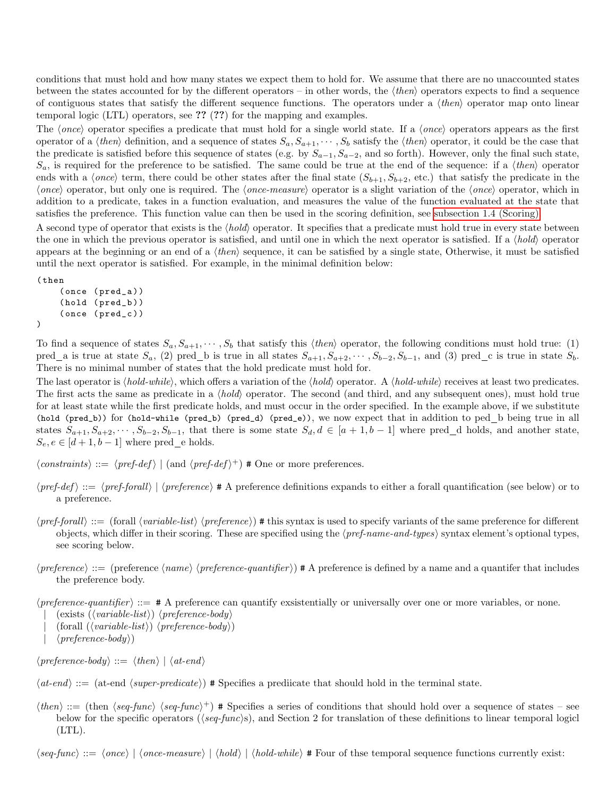conditions that must hold and how many states we expect them to hold for. We assume that there are no unaccounted states between the states accounted for by the different operators – in other words, the  $\langle then \rangle$  operators expects to find a sequence of contiguous states that satisfy the different sequence functions. The operators under a  $\langle then \rangle$  operator map onto linear temporal logic (LTL) operators, see ?? (??) for the mapping and examples.

The  $\langle once \rangle$  operator specifies a predicate that must hold for a single world state. If a  $\langle once \rangle$  operators appears as the first operator of a  $\langle then \rangle$  definition, and a sequence of states  $S_a, S_{a+1}, \cdots, S_b$  satisfy the  $\langle then \rangle$  operator, it could be the case that the predicate is satisfied before this sequence of states (e.g. by  $S_{a-1}, S_{a-2}$ , and so forth). However, only the final such state,  $S_a$ , is required for the preference to be satisfied. The same could be true at the end of the sequence: if a  $\langle then \rangle$  operator ends with a  $\langle once \rangle$  term, there could be other states after the final state  $(S_{b+1}, S_{b+2}, \text{etc.})$  that satisfy the predicate in the  $\langle once \rangle$  operator, but only one is required. The  $\langle once-measure \rangle$  operator is a slight variation of the  $\langle once \rangle$  operator, which in addition to a predicate, takes in a function evaluation, and measures the value of the function evaluated at the state that satisfies the preference. This function value can then be used in the scoring definition, see [subsection 1.4 \(Scoring\).](#page-3-0)

A second type of operator that exists is the  $\langle hold \rangle$  operator. It specifies that a predicate must hold true in every state between the one in which the previous operator is satisfied, and until one in which the next operator is satisfied. If a  $\langle hold \rangle$  operator appears at the beginning or an end of a  $\langle then \rangle$  sequence, it can be satisfied by a single state, Otherwise, it must be satisfied until the next operator is satisfied. For example, in the minimal definition below:

```
( then
     ( once ( pred_a ) )
     (hold (pred_b))
     ( once ( pred_c ) )
)
```
To find a sequence of states  $S_a, S_{a+1}, \cdots, S_b$  that satisfy this (then) operator, the following conditions must hold true: (1) pred a is true at state  $S_a$ , (2) pred b is true in all states  $S_{a+1}, S_{a+2}, \cdots, S_{b-2}, S_{b-1}$ , and (3) pred c is true in state  $S_b$ . There is no minimal number of states that the hold predicate must hold for.

The last operator is  $\langle hold\cdot while \rangle$ , which offers a variation of the  $\langle hold\rangle$  operator. A  $\langle hold\cdot while \rangle$  receives at least two predicates. The first acts the same as predicate in a  $\langle hold \rangle$  operator. The second (and third, and any subsequent ones), must hold true for at least state while the first predicate holds, and must occur in the order specified. In the example above, if we substitute (hold (pred\_b)) for (hold-while (pred\_b) (pred\_d) (pred\_e)), we now expect that in addition to ped b being true in all states  $S_{a+1}, S_{a+2}, \cdots, S_{b-2}, S_{b-1}$ , that there is some state  $S_d, d \in [a+1,b-1]$  where pred\_d holds, and another state,  $S_e, e \in [d+1, b-1]$  where pred e holds.

 $\langle constants \rangle ::= \langle pref\text{-}def \rangle | \text{ (and } \langle pref\text{-}def \rangle^+)$  # One or more preferences.

- $\langle pref-def \rangle ::= \langle pref-forall \rangle | \langle preference \rangle \# A$  preference definitions expands to either a forall quantification (see below) or to a preference.
- $\langle pref\text{-}for all\rangle ::= (\text{for all } \langle variable\text{-}list\rangle \langle preference\rangle)$  # this syntax is used to specify variants of the same preference for different objects, which differ in their scoring. These are specified using the  $\langle pref_name-and-types \rangle$  syntax element's optional types, see scoring below.
- $\langle preference \rangle ::=$  (preference  $\langle name \rangle$   $\langle preference\text{-}quantifier \rangle$ ) # A preference is defined by a name and a quantifer that includes the preference body.
- $\langle preference\text{-}quantifier \rangle ::= # A preference can quantify existentially or universally over one or more variables, or none.$ 
	- $\langle \text{exists } (\langle \text{variable-list} \rangle) \langle \text{preference-body} \rangle$
	- $(forall \ (\langle variable-list \rangle) \ \langle preference-body \rangle)$
	- $\langle$ *preference-body* $\rangle$ )

 $\langle preference\text{-}body \rangle ::= \langle then \rangle | \langle at\text{-}end \rangle$ 

 $\langle$  at-end i:= (at-end  $\langle super-predicte \rangle$ ) # Specifies a prediicate that should hold in the terminal state.

 $\langle then \rangle ::= (\text{then } \langle seq\text{-}func \rangle \langle seq\text{-}func \rangle^+)$  # Specifies a series of conditions that should hold over a sequence of states – see below for the specific operators ( $\langle \text{seq-func} \rangle$ s), and Section 2 for translation of these definitions to linear temporal logicl (LTL).

 $\langle seq\text{-}func \rangle ::= \langle once \rangle | \langle once\text{-}measure \rangle | \langle hold \rangle | \langle hold\text{-}while \rangle \# Four of these temporal sequence functions currently exist:$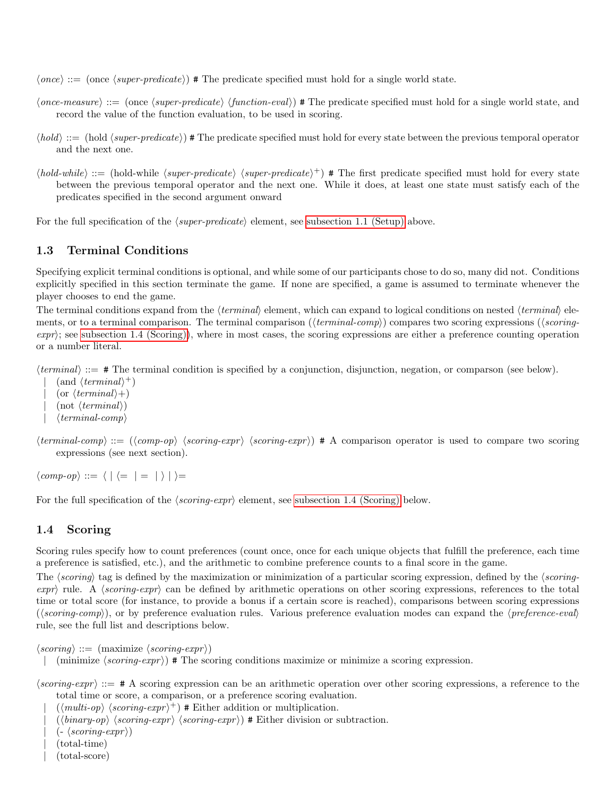$\langle once\rangle ::=$  (once  $\langle super-predicte\rangle$ ) # The predicate specified must hold for a single world state.

- $\langle once-measure\rangle ::= (once \langle super-predictate\rangle \langle function-eval\rangle)$  # The predicate specified must hold for a single world state, and record the value of the function evaluation, to be used in scoring.
- $\langle hold \rangle ::= (\text{hold } \langle super-predictate \rangle)$  # The predicate specified must hold for every state between the previous temporal operator and the next one.
- $\langle hold\text{-}while \rangle ::= (\text{hold-}while \langle super-predicte \rangle \langle super-predicte \rangle^+)$  # The first predicate specified must hold for every state between the previous temporal operator and the next one. While it does, at least one state must satisfy each of the predicates specified in the second argument onward

For the full specification of the  $\langle super-predicte \rangle$  element, see [subsection 1.1 \(Setup\)](#page-0-0) above.

### 1.3 Terminal Conditions

Specifying explicit terminal conditions is optional, and while some of our participants chose to do so, many did not. Conditions explicitly specified in this section terminate the game. If none are specified, a game is assumed to terminate whenever the player chooses to end the game.

The terminal conditions expand from the *(terminal)* element, which can expand to logical conditions on nested  $\langle terminal \rangle$  elements, or to a terminal comparison. The terminal comparison ( $\langle terminal\text{-}comp \rangle$ ) compares two scoring expressions ( $\langle scoring\text{-}remin]$  $\exp(r)$ ; see [subsection 1.4 \(Scoring\)\)](#page-3-0), where in most cases, the scoring expressions are either a preference counting operation or a number literal.

 $\langle terminal \rangle ::= \text{# The terminal condition is specified by a conjunction, disjunction, negation, or comparison (see below).}$ 

 $\int$  (and  $\langle terminal \rangle^+$ ) (or  $\langle terminal \rangle +$ )  $($ not  $\langle terminal \rangle)$  $\langle terminal-comp\rangle$ 

 $\langle terminal\text{-}comp \rangle ::= (\langle comp\text{-}op \rangle \langle scoring\text{-}expr \rangle \langle scoring\text{-}expr \rangle)$  # A comparison operator is used to compare two scoring expressions (see next section).

 $\langle comp\text{-}op \rangle ::= \langle | \langle = | = | \rangle | \rangle =$ 

For the full specification of the  $\langle s\text{corinq-expr} \rangle$  element, see [subsection 1.4 \(Scoring\)](#page-3-0) below.

#### <span id="page-3-0"></span>1.4 Scoring

Scoring rules specify how to count preferences (count once, once for each unique objects that fulfill the preference, each time a preference is satisfied, etc.), and the arithmetic to combine preference counts to a final score in the game.

The  $\langle scoring\rangle$  tag is defined by the maximization or minimization of a particular scoring expression, defined by the  $\langle scoring \exp r$  rule. A  $\langle s \text{corinq-expr} \rangle$  can be defined by arithmetic operations on other scoring expressions, references to the total time or total score (for instance, to provide a bonus if a certain score is reached), comparisons between scoring expressions  $(\langle scoring\text{-}comp\rangle)$ , or by preference evaluation rules. Various preference evaluation modes can expand the  $\langle preference\text{-}eval\rangle$ rule, see the full list and descriptions below.

```
\langle scoring \rangle ::= \langle \text{maximize} \langle scoring\text{-}expr \rangle
```
- | (minimize  $\langle scoring\text{-}expr \rangle$ ) # The scoring conditions maximize or minimize a scoring expression.
- $\langle \mathit{scoring-expr} \rangle ::=$  # A scoring expression can be an arithmetic operation over other scoring expressions, a reference to the total time or score, a comparison, or a preference scoring evaluation.
	- $|\ (\langle multi-op \rangle \langle scoring-expr \rangle^+)$  # Either addition or multiplication.
	- $(\langle binary-op \rangle \langle scoring-expr \rangle \langle scoring-expr \rangle)$  # Either division or subtraction.
	- $(- \langle scoring\text{-}expr \rangle)$
	- | (total-time)
	- | (total-score)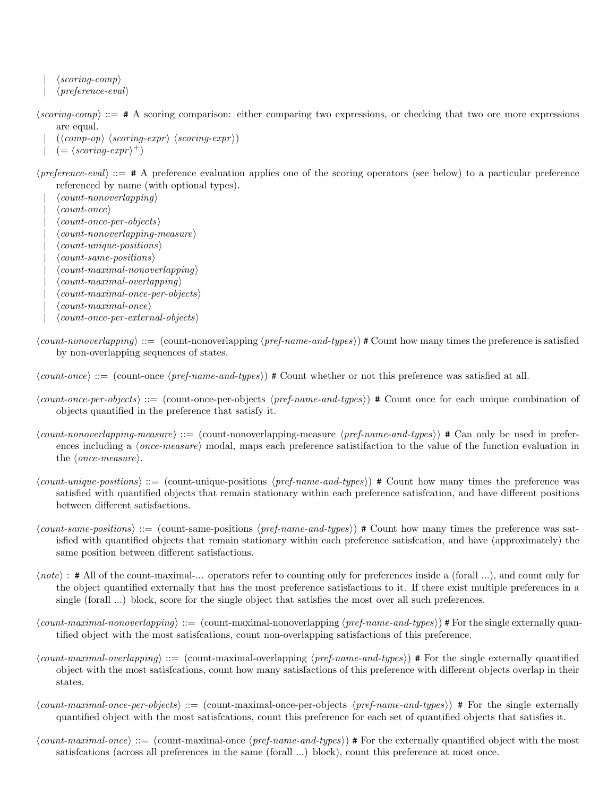$\langle \mathit{scoring-comp} \rangle$  $\langle$ *preference-eval* $\rangle$ 

- $\langle \mathit{scoring-comp} \rangle ::= \# A$  scoring comparison: either comparing two expressions, or checking that two ore more expressions are equal.
	- $(\langle comp\text{-}op \rangle \langle scoring\text{-}expr \rangle \langle scoring\text{-}expr \rangle)$
	- $| = (scoring\text{-}expr)^{+})$
- $\langle$ *preference-eval* $\rangle$  ::=  $\#$  A preference evaluation applies one of the scoring operators (see below) to a particular preference referenced by name (with optional types).
	- $\langle count\text{-}nonoverlapping\rangle$  $\langle count\text{-}once\rangle$  $\langle count\text{-}once\text{-}per\text{-}objects \rangle$  $\langle count\{-norm}$  $\langle count\_{unique\text{-}positions}\rangle$  $\langle count\text{-}same\text{-}positions \rangle$  $\langle count\text{-}maximal\text{-}nonoverlapping\rangle$  $\langle count\text{-}maximal\text{-}overlapping\rangle$  $\langle count\text{-}maximal\text{-}once\text{-}per\text{-}objects \rangle$
	- $\langle$  count-maximal-once)
	- $\langle count\text{-}once\text{-}per\text{-}external\text{-}objects \rangle$
- $\langle count\text{-}nonoverlapping\rangle ::= (\text{count-nonoverlapping}\langle\text{pref}\text{-}name\text{-}and\text{-}types\rangle)$  # Count how many times the preference is satisfied by non-overlapping sequences of states.
- $\langle count\text{-}once\rangle ::= (\text{count-one } \langle pref\text{-}name\text{-}and\text{-}types\rangle)$  # Count whether or not this preference was satisfied at all.
- $\langle count\text{-}once\text{-}per\text{-}objects\rangle ::= (\text{count\--}once\text{-}per\-->objects \langle pref\text{-}name\text{-}and\text{-}types\rangle)$  # Count once for each unique combination of objects quantified in the preference that satisfy it.
- $\langle count-nonoverlapping-measure\rangle ::= (count-nonoverlapping-measure \langle prefer-name-and-types\rangle)$  # Can only be used in preferences including a  $\langle once-measure\rangle$  modal, maps each preference satistifaction to the value of the function evaluation in the  $\langle once-measure\rangle$ .
- $\langle count\text{-}unique\text{-}positions\rangle ::= (\text{count-unique-positions }\langle pref\text{-}name\text{-}and\text{-}types\rangle)$  # Count how many times the preference was satisfied with quantified objects that remain stationary within each preference satisfcation, and have different positions between different satisfactions.
- $\langle count\text{-}same\text{-}positions \rangle ::= (\text{count-sample} \cdot \text{same} \cdot positions \langle pref\text{-}name\text{-}and\text{-}types \rangle)$  # Count how many times the preference was satisfied with quantified objects that remain stationary within each preference satisfcation, and have (approximately) the same position between different satisfactions.
- $\langle note\rangle$ : # All of the count-maximal-... operators refer to counting only for preferences inside a (forall ...), and count only for the object quantified externally that has the most preference satisfactions to it. If there exist multiple preferences in a single (forall ...) block, score for the single object that satisfies the most over all such preferences.
- $\langle count\text{-}maximal\text{-}nonoverlapping\rangle ::= (\text{count-maximal-nonoverlapping}\langle prefer\text{-}name\text{-}and\text{-}types\rangle)$  # For the single externally quantified object with the most satisfcations, count non-overlapping satisfactions of this preference.
- $\langle count\text{-}maximal\text{-}overlapping \rangle ::= (\text{count-maximal-overlapping } \langle pref\text{-}name\text{-}and\text{-}types)$  # For the single externally quantified object with the most satisfcations, count how many satisfactions of this preference with different objects overlap in their states.
- $\langle count\text{-}maximal\text{-}once\text{-}per\text{-}objects \rangle ::= (\text{count-}maximal\text{-}once\text{-}per\text{-}objects \langle prefer\text{-}name\text{-}and\text{-}types \rangle)$  # For the single externally quantified object with the most satisfcations, count this preference for each set of quantified objects that satisfies it.
- $\langle count\text{-}maximal\text{-}one\rangle ::= (\text{count-maximal\text{-}once} \langle \text{pref\text{-}}name\text{-}and\text{-}types)$  # For the externally quantified object with the most satisfcations (across all preferences in the same (forall ...) block), count this preference at most once.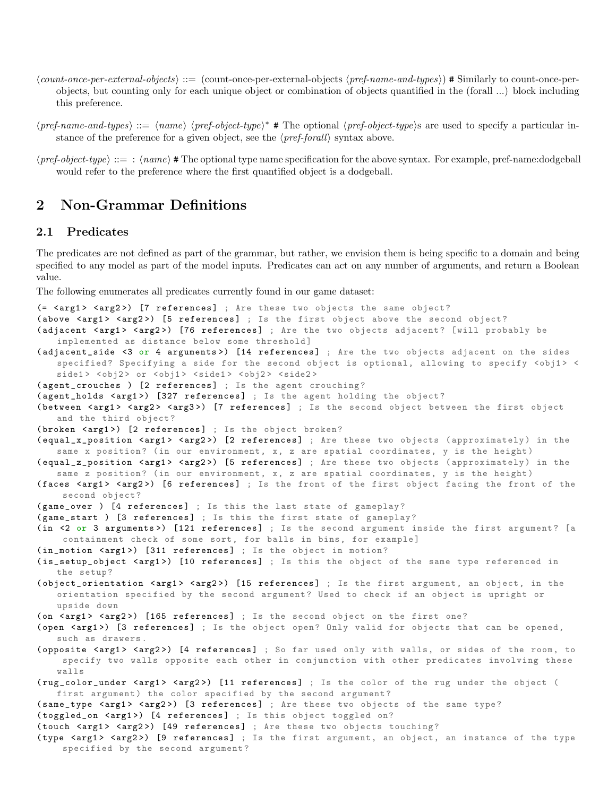- $\langle count\text{-}once\text{-}per\text{-}external\text{-}objects \rangle ::= (\text{count-one-per-external-objects} \langle prefer\text{-}name\text{-}and\text{-}types) \rangle$  # Similarly to count-once-perobjects, but counting only for each unique object or combination of objects quantified in the (forall ...) block including this preference.
- $\langle pref\text{-}name\text{-}and\text{-}types\rangle ::= \langle name \rangle \langle pref\text{-}object\text{-}type\rangle^*$  # The optional  $\langle pref\text{-}object\text{-}type\rangle$ s are used to specify a particular instance of the preference for a given object, see the  $\langle pref$ -forall<sub>i</sub> syntax above.
- $\langle prefer\text{-}object\text{-}type\rangle ::= : \langle name\rangle$  # The optional type name specification for the above syntax. For example, pref-name:dodgeball would refer to the preference where the first quantified object is a dodgeball.

# 2 Non-Grammar Definitions

### <span id="page-5-0"></span>2.1 Predicates

The predicates are not defined as part of the grammar, but rather, we envision them is being specific to a domain and being specified to any model as part of the model inputs. Predicates can act on any number of arguments, and return a Boolean value.

The following enumerates all predicates currently found in our game dataset:

```
(= <arg1> <arg2>) [7 references] ; Are these two objects the same object?
(above <arg1> <arg2>) [5 references] ; Is the first object above the second object?
(adjacent <arg1> <arg2>) [76 references] ; Are the two objects adjacent? [will probably be
   implemented as distance below some threshold]
(adjacent_side <3 or 4 arguments>) [14 references] ; Are the two objects adjacent on the sides
   specified? Specifying a side for the second object is optional, allowing to specify <obj1> <
   side1> <obj2> or <obj1> <side1> <obj2> <side2>
(agent_crouches ) [2 references] ; Is the agent crouching?
(agent_holds <arg1>) [327 references] ; Is the agent holding the object?
(between <arg1> <arg2> <arg3>) [7 references] ; Is the second object between the first object
   and the third object?
(broken <arg1>) [2 references] ; Is the object broken?
(equal_x_position <arg1> <arg2>) [2 references] ; Are these two objects (approximately) in the
   same x position? (in our environment, x, z are spatial coordinates, y is the height)
( equal_z_position <arg1> <arg2>) [5 references] ; Are these two objects ( approximately ) in the
   same z position? (in our environment, x, z are spatial coordinates, y is the height)
(faces <arg1> <arg2>) [6 references] ; Is the front of the first object facing the front of the
    second object ?
(game_over ) [4 references] ; Is this the last state of gameplay?
(game_start ) [3 references] ; Is this the first state of gameplay?
(in <2 or 3 arguments>) [121 references] ; Is the second argument inside the first argument? [a
    containment check of some sort, for balls in bins, for example]
(in_motion <arg1>) [311 references] ; Is the object in motion?
(is_setup_object <arg1>) [10 references] ; Is this the object of the same type referenced in
   the setup ?
(object_orientation <arg1> <arg2>) [15 references] ; Is the first argument, an object, in the
   orientation specified by the second argument? Used to check if an object is upright or
   upside down
(on <arg1> <arg2>) [165 references] ; Is the second object on the first one?
(open <arg1>) [3 references] ; Is the object open? Only valid for objects that can be opened,
   such as drawers .
(opposite <arg1> <arg2>) [4 references] ; So far used only with walls, or sides of the room, to
    specify two walls opposite each other in conjunction with other predicates involving these
   walls
(rug_color_under <arg1> <arg2>) [11 references] ; Is the color of the rug under the object (
   first argument) the color specified by the second argument?
(same_type <arg1> <arg2>) [3 references] ; Are these two objects of the same type?
( toggled_on < arg1 >) [4 references ] ; Is this object toggled on?
(touch <arg1> <arg2>) [49 references] ; Are these two objects touching?
(type <arg1> <arg2>) [9 references] ; Is the first argument, an object, an instance of the type
    specified by the second argument?
```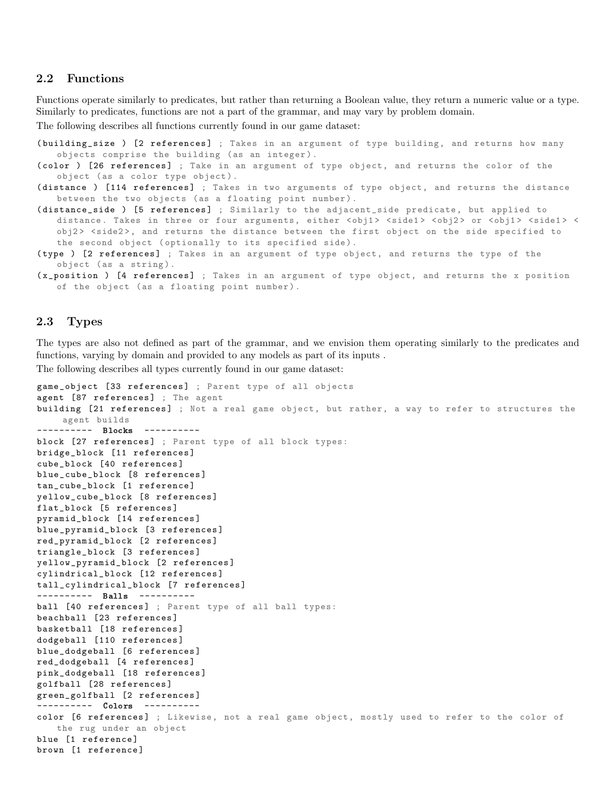### 2.2 Functions

Functions operate similarly to predicates, but rather than returning a Boolean value, they return a numeric value or a type. Similarly to predicates, functions are not a part of the grammar, and may vary by problem domain.

The following describes all functions currently found in our game dataset:

- (building\_size ) [2 references] ; Takes in an argument of type building, and returns how many objects comprise the building (as an integer).
- (color ) [26 references] ; Take in an argument of type object, and returns the color of the object (as a color type object).
- (distance ) [114 references] ; Takes in two arguments of type object, and returns the distance between the two objects (as a floating point number).
- (distance\_side ) [5 references] ; Similarly to the adjacent\_side predicate, but applied to distance. Takes in three or four arguments, either <obj1> <side1> <obj2> or <obj1> <side1> < obj2 > <side2 >, and returns the distance between the first object on the side specified to the second object (optionally to its specified side).
- (type ) [2 references] ; Takes in an argument of type object, and returns the type of the object (as a string).
- (x\_position ) [4 references] ; Takes in an argument of type object, and returns the x position of the object (as a floating point number).

#### 2.3 Types

The types are also not defined as part of the grammar, and we envision them operating similarly to the predicates and functions, varying by domain and provided to any models as part of its inputs .

The following describes all types currently found in our game dataset:

```
game_object [33 references] ; Parent type of all objects
agent [87 references] ; The agent
building [21 references] ; Not a real game object, but rather, a way to refer to structures the
    agent builds
---------- Blocks ----------
block [27 references] ; Parent type of all block types:
bridge_block [11 references ]
cube_block [40 references ]
blue_cube_block [8 references ]
tan_cube_block [1 reference ]
yellow_cube_block [8 references ]
flat_block [5 references ]
pyramid_block [14 references ]
blue_pyramid_block [3 references ]
red_pyramid_block [2 references ]
triangle_block [3 references ]
yellow_pyramid_block [2 references ]
cylindrical_block [12 references ]
tall_cylindrical_block [7 references ]
---------- Balls ----------
ball [40 references] ; Parent type of all ball types:
beachball [23 references ]
basketball [18 references ]
dodgeball [110 references ]
blue_dodgeball [6 references ]
red_dodgeball [4 references ]
pink_dodgeball [18 references ]
golfball [28 references ]
green_golfball [2 references ]
---------- Colors ----------
color [6 references] ; Likewise, not a real game object, mostly used to refer to the color of
   the rug under an object
blue [1 reference]
brown [1 reference]
```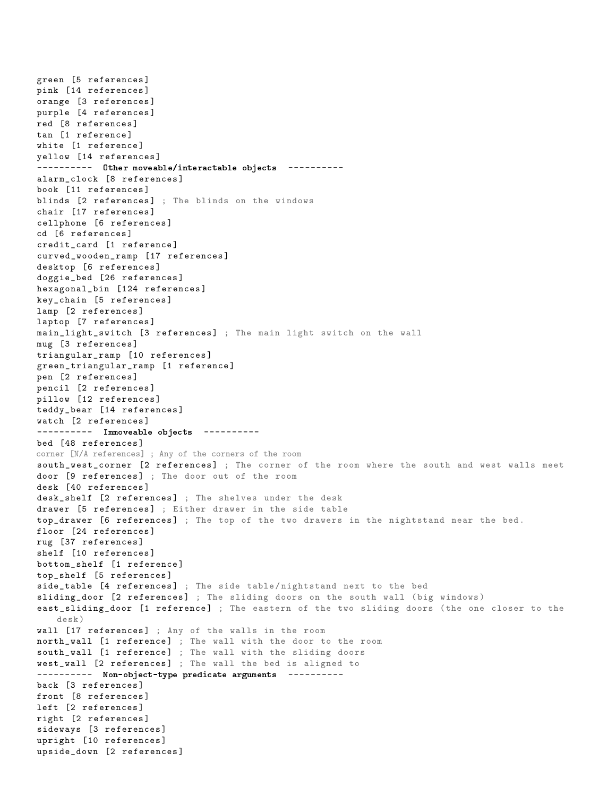green [5 references ] pink [14 references ] orange [3 references ] purple [4 references ] red [8 references ] tan [1 reference ] white [1 reference] yellow [14 references ] --------- Other moveable/interactable objects --------alarm\_clock [8 references] book [11 references ] blinds [2 references] ; The blinds on the windows chair [17 references] cellphone [6 references ] cd [6 references ] credit\_card [1 reference ] curved\_wooden\_ramp [17 references ] desktop [6 references ] doggie\_bed [26 references ] hexagonal\_bin [124 references] key\_chain [5 references ] lamp [2 references] laptop [7 references ] main\_light\_switch [3 references ] ; The main light switch on the wall mug [3 references ] triangular\_ramp [10 references ] green\_triangular\_ramp [1 reference ] pen [2 references ] pencil [2 references ] pillow [12 references ] teddy\_bear [14 references ] watch [2 references ] ---------- Immoveable objects ---------bed [48 references ] corner [N/A references] ; Any of the corners of the room south\_west\_corner [2 references] ; The corner of the room where the south and west walls meet door [9 references] ; The door out of the room desk [40 references ] desk\_shelf [2 references] ; The shelves under the desk drawer [5 references] ; Either drawer in the side table top\_drawer [6 references] ; The top of the two drawers in the nightstand near the bed. floor [24 references] rug [37 references ] shelf [10 references ] bottom\_shelf [1 reference ] top\_shelf [5 references ] side\_table [4 references] ; The side table/nightstand next to the bed sliding\_door [2 references] ; The sliding doors on the south wall (big windows) east\_sliding\_door [1 reference] ; The eastern of the two sliding doors (the one closer to the desk ) wall [17 references] ; Any of the walls in the room north\_wall [1 reference] ; The wall with the door to the room south\_wall [1 reference] ; The wall with the sliding doors west\_wall [2 references] ; The wall the bed is aligned to ---------- Non-object-type predicate arguments ---------back [3 references ] front [8 references ] left [2 references ] right [2 references ] sideways [3 references ] upright [10 references ] upside\_down [2 references ]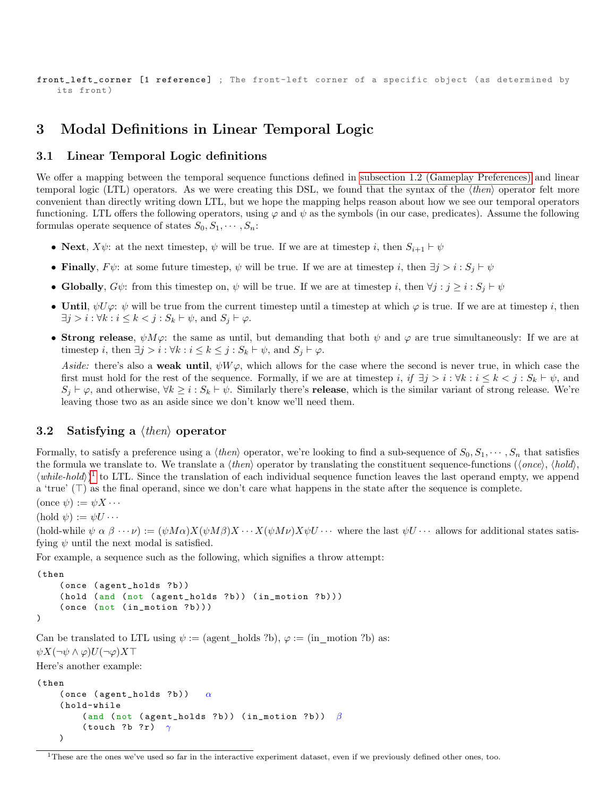```
front_left_corner [1 reference] ; The front-left corner of a specific object (as determined by
   its front )
```
# 3 Modal Definitions in Linear Temporal Logic

#### 3.1 Linear Temporal Logic definitions

We offer a mapping between the temporal sequence functions defined in [subsection 1.2 \(Gameplay Preferences\)](#page-1-0) and linear temporal logic (LTL) operators. As we were creating this DSL, we found that the syntax of the  $\langle then \rangle$  operator felt more convenient than directly writing down LTL, but we hope the mapping helps reason about how we see our temporal operators functioning. LTL offers the following operators, using  $\varphi$  and  $\psi$  as the symbols (in our case, predicates). Assume the following formulas operate sequence of states  $S_0, S_1, \cdots, S_n$ :

- Next,  $X\psi$ : at the next timestep,  $\psi$  will be true. If we are at timestep i, then  $S_{i+1} \vdash \psi$
- Finally,  $F\psi$ : at some future timestep,  $\psi$  will be true. If we are at timestep i, then  $\exists j > i : S_i \vdash \psi$
- Globally,  $G\psi$ : from this timestep on,  $\psi$  will be true. If we are at timestep i, then  $\forall j : j \geq i : S_i \vdash \psi$
- Until,  $\psi U \varphi: \psi$  will be true from the current timestep until a timestep at which  $\varphi$  is true. If we are at timestep i, then  $\exists j > i : \forall k : i \leq k < j : S_k \vdash \psi$ , and  $S_j \vdash \varphi$ .
- Strong release,  $\psi M \varphi$ : the same as until, but demanding that both  $\psi$  and  $\varphi$  are true simultaneously: If we are at timestep i, then  $\exists j > i : \forall k : i \leq k \leq j : S_k \vdash \psi$ , and  $S_j \vdash \varphi$ .

Aside: there's also a weak until,  $\psi W \varphi$ , which allows for the case where the second is never true, in which case the first must hold for the rest of the sequence. Formally, if we are at timestep i, if  $\exists j > i : \forall k : i \leq k < j : S_k \vdash \psi$ , and  $S_i \vdash \varphi$ , and otherwise,  $\forall k \geq i : S_k \vdash \psi$ . Similarly there's **release**, which is the similar variant of strong release. We're leaving those two as an aside since we don't know we'll need them.

### 3.2 Satisfying a  $\langle then \rangle$  operator

Formally, to satisfy a preference using a  $\langle then \rangle$  operator, we're looking to find a sub-sequence of  $S_0, S_1, \dots, S_n$  that satisfies the formula we translate to. We translate a  $\langle then \rangle$  operator by translating the constituent sequence-functions  $(\langle once \rangle, \langle hold \rangle)$  $\langle while-hold \rangle$ <sup>[1](#page-8-0)</sup> to LTL. Since the translation of each individual sequence function leaves the last operand empty, we append a 'true'  $(T)$  as the final operand, since we don't care what happens in the state after the sequence is complete.

 $(\text{once }\psi) := \psi X \cdots$ 

```
(hold \psi) := \psi U \cdots
```
(hold-while  $\psi \alpha \beta \cdots \psi := (\psi M \alpha) X (\psi M \beta) X \cdots X (\psi M \nu) X \psi U \cdots$  where the last  $\psi U \cdots$  allows for additional states satisfying  $\psi$  until the next modal is satisfied.

For example, a sequence such as the following, which signifies a throw attempt:

```
( then
    (once (agent_holds ?b))
    (hold (and (not (agent_holds ?b)) (in_motion ?b)))
    ( once ( not ( in_motion ?b)))
)
```
Can be translated to LTL using  $\psi := ($  agent holds ?b),  $\varphi := ($ in motion ?b) as:  $\psi X(\neg \psi \wedge \varphi)U(\neg \varphi)X\top$ 

Here's another example:

```
( then
    ( once ( agent\_holds ? b) ) \alpha( hold-while
         (and (not ( agent_holds ?b)) (in_motion ?b)) \beta( touch ? b ? r ) \gamma)
```
<span id="page-8-0"></span><sup>1</sup>These are the ones we've used so far in the interactive experiment dataset, even if we previously defined other ones, too.